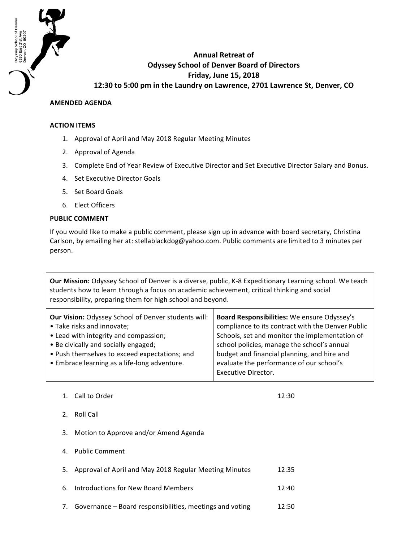

## **AMENDED AGENDA**

## **ACTION ITEMS**

Odyssey School of Denver<br>6550 East 21st Ave<br>Denver, CO 80207

- 1. Approval of April and May 2018 Regular Meeting Minutes
- 2. Approval of Agenda
- 3. Complete End of Year Review of Executive Director and Set Executive Director Salary and Bonus.
- 4. Set Executive Director Goals
- 5. Set Board Goals
- 6. Elect Officers

## **PUBLIC COMMENT**

If you would like to make a public comment, please sign up in advance with board secretary, Christina Carlson, by emailing her at: stellablackdog@yahoo.com. Public comments are limited to 3 minutes per person.

**Our Mission:** Odyssey School of Denver is a diverse, public, K-8 Expeditionary Learning school. We teach students how to learn through a focus on academic achievement, critical thinking and social responsibility, preparing them for high school and beyond.

| <b>Our Vision: Odyssey School of Denver students will:</b> | Board Responsibilities: We ensure Odyssey's       |
|------------------------------------------------------------|---------------------------------------------------|
| • Take risks and innovate;                                 | compliance to its contract with the Denver Public |
| • Lead with integrity and compassion;                      | Schools, set and monitor the implementation of    |
| • Be civically and socially engaged;                       | school policies, manage the school's annual       |
| • Push themselves to exceed expectations; and              | budget and financial planning, and hire and       |
| • Embrace learning as a life-long adventure.               | evaluate the performance of our school's          |
|                                                            | <b>Executive Director.</b>                        |

1. Call to Order 12:30

- 2. Roll Call
- 3. Motion to Approve and/or Amend Agenda
- 4. Public Comment
- 5. Approval of April and May 2018 Regular Meeting Minutes 12:35
- 6. Introductions for New Board Members 12:40
- 7. Governance Board responsibilities, meetings and voting 12:50